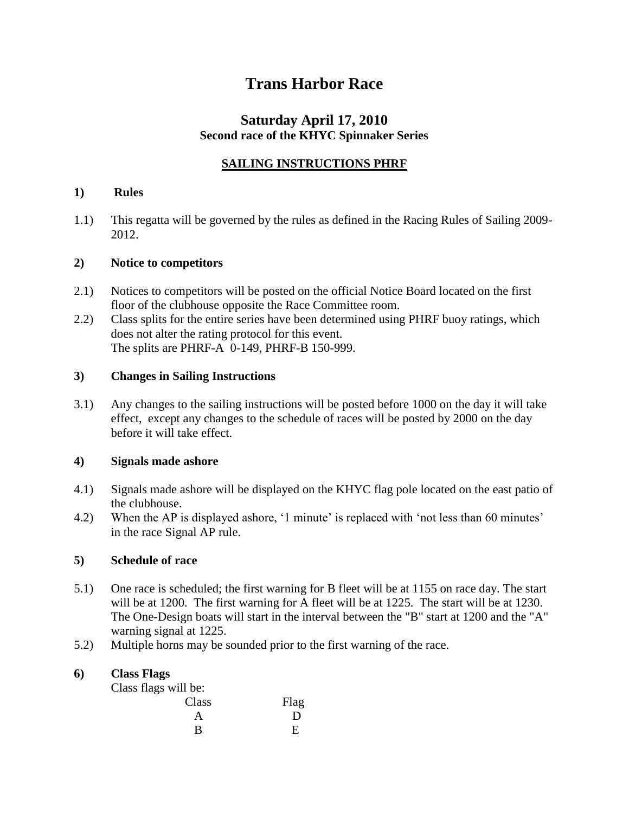# **Trans Harbor Race**

# **Saturday April 17, 2010 Second race of the KHYC Spinnaker Series**

## **SAILING INSTRUCTIONS PHRF**

#### **1) Rules**

1.1) This regatta will be governed by the rules as defined in the Racing Rules of Sailing 2009- 2012.

#### **2) Notice to competitors**

- 2.1) Notices to competitors will be posted on the official Notice Board located on the first floor of the clubhouse opposite the Race Committee room.
- 2.2) Class splits for the entire series have been determined using PHRF buoy ratings, which does not alter the rating protocol for this event. The splits are PHRF-A 0-149, PHRF-B 150-999.

#### **3) Changes in Sailing Instructions**

3.1) Any changes to the sailing instructions will be posted before 1000 on the day it will take effect, except any changes to the schedule of races will be posted by 2000 on the day before it will take effect.

#### **4) Signals made ashore**

- 4.1) Signals made ashore will be displayed on the KHYC flag pole located on the east patio of the clubhouse.
- 4.2) When the AP is displayed ashore, '1 minute' is replaced with 'not less than 60 minutes' in the race Signal AP rule.

#### **5) Schedule of race**

- 5.1) One race is scheduled; the first warning for B fleet will be at 1155 on race day. The start will be at 1200. The first warning for A fleet will be at 1225. The start will be at 1230. The One-Design boats will start in the interval between the "B" start at 1200 and the "A" warning signal at 1225.
- 5.2) Multiple horns may be sounded prior to the first warning of the race.

#### **6) Class Flags**

Class flags will be:

| -<br>Class | Flag |
|------------|------|
|            | D    |
| в          |      |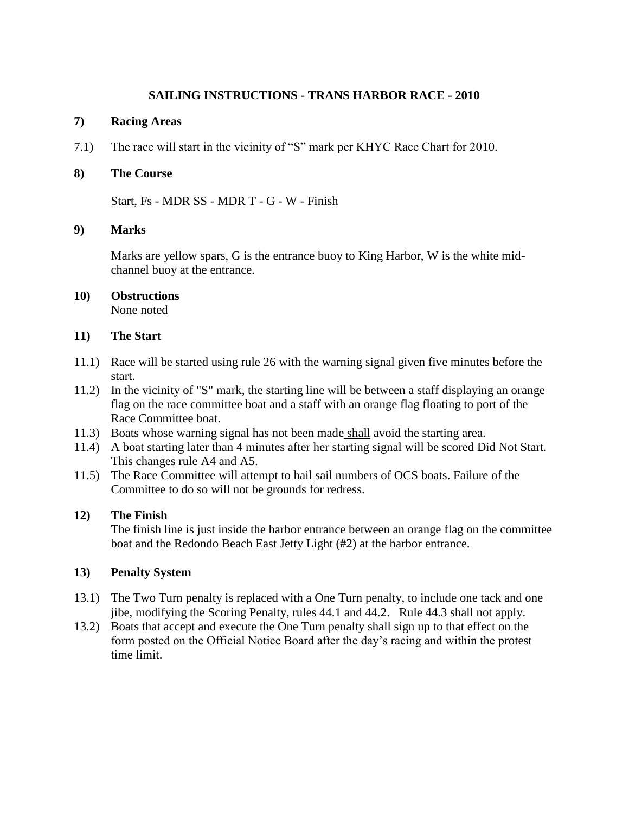#### **SAILING INSTRUCTIONS - TRANS HARBOR RACE - 2010**

#### **7) Racing Areas**

7.1) The race will start in the vicinity of "S" mark per KHYC Race Chart for 2010.

#### **8) The Course**

Start, Fs - MDR SS - MDR T - G - W - Finish

#### **9) Marks**

Marks are yellow spars, G is the entrance buoy to King Harbor, W is the white midchannel buoy at the entrance.

#### **10) Obstructions** None noted

#### **11) The Start**

- 11.1) Race will be started using rule 26 with the warning signal given five minutes before the start.
- 11.2) In the vicinity of "S" mark, the starting line will be between a staff displaying an orange flag on the race committee boat and a staff with an orange flag floating to port of the Race Committee boat.
- 11.3) Boats whose warning signal has not been made shall avoid the starting area.
- 11.4) A boat starting later than 4 minutes after her starting signal will be scored Did Not Start. This changes rule A4 and A5.
- 11.5) The Race Committee will attempt to hail sail numbers of OCS boats. Failure of the Committee to do so will not be grounds for redress.

#### **12) The Finish**

The finish line is just inside the harbor entrance between an orange flag on the committee boat and the Redondo Beach East Jetty Light (#2) at the harbor entrance.

### **13) Penalty System**

- 13.1) The Two Turn penalty is replaced with a One Turn penalty, to include one tack and one jibe, modifying the Scoring Penalty, rules 44.1 and 44.2. Rule 44.3 shall not apply.
- 13.2) Boats that accept and execute the One Turn penalty shall sign up to that effect on the form posted on the Official Notice Board after the day"s racing and within the protest time limit.